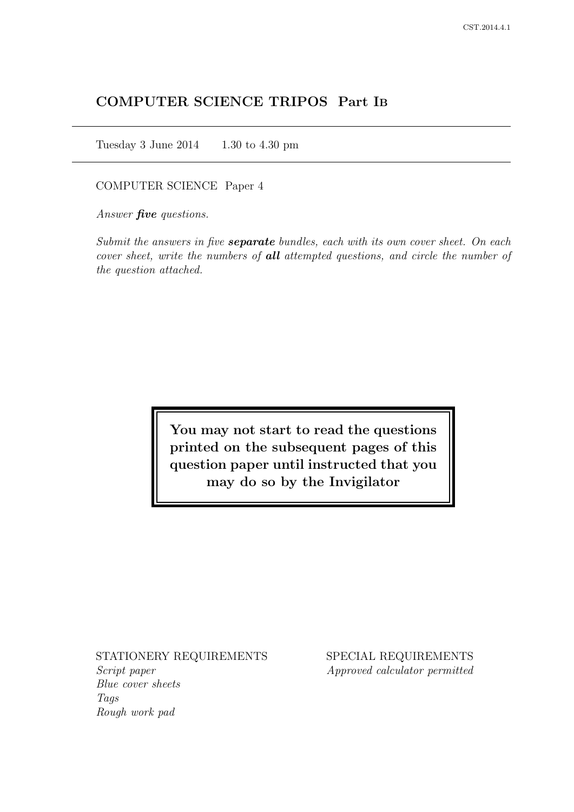# COMPUTER SCIENCE TRIPOS Part IB

Tuesday 3 June 2014 1.30 to 4.30 pm

## COMPUTER SCIENCE Paper 4

Answer *five* questions.

Submit the answers in five **separate** bundles, each with its own cover sheet. On each cover sheet, write the numbers of **all** attempted questions, and circle the number of the question attached.

> You may not start to read the questions printed on the subsequent pages of this question paper until instructed that you may do so by the Invigilator

#### STATIONERY REQUIREMENTS

Script paper Blue cover sheets Tags Rough work pad

SPECIAL REQUIREMENTS Approved calculator permitted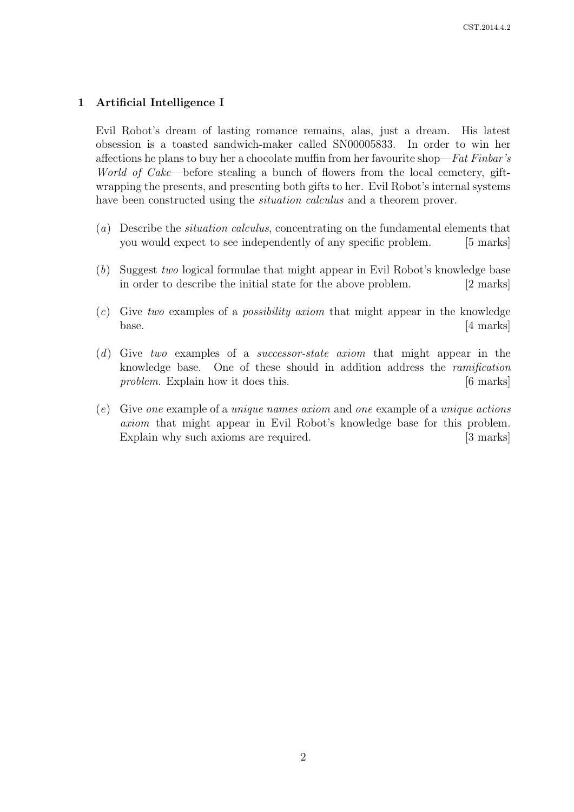## 1 Artificial Intelligence I

Evil Robot's dream of lasting romance remains, alas, just a dream. His latest obsession is a toasted sandwich-maker called SN00005833. In order to win her affections he plans to buy her a chocolate muffin from her favourite shop—Fat Finbar's World of Cake—before stealing a bunch of flowers from the local cemetery, giftwrapping the presents, and presenting both gifts to her. Evil Robot's internal systems have been constructed using the *situation calculus* and a theorem prover.

- (a) Describe the situation calculus, concentrating on the fundamental elements that you would expect to see independently of any specific problem. [5 marks]
- (b) Suggest two logical formulae that might appear in Evil Robot's knowledge base in order to describe the initial state for the above problem. [2 marks]
- $(c)$  Give two examples of a *possibility axiom* that might appear in the knowledge base. [4 marks]
- (d) Give two examples of a successor-state axiom that might appear in the knowledge base. One of these should in addition address the ramification problem. Explain how it does this. [6 marks]
- (e) Give one example of a unique names axiom and one example of a unique actions axiom that might appear in Evil Robot's knowledge base for this problem. Explain why such axioms are required. [3 marks]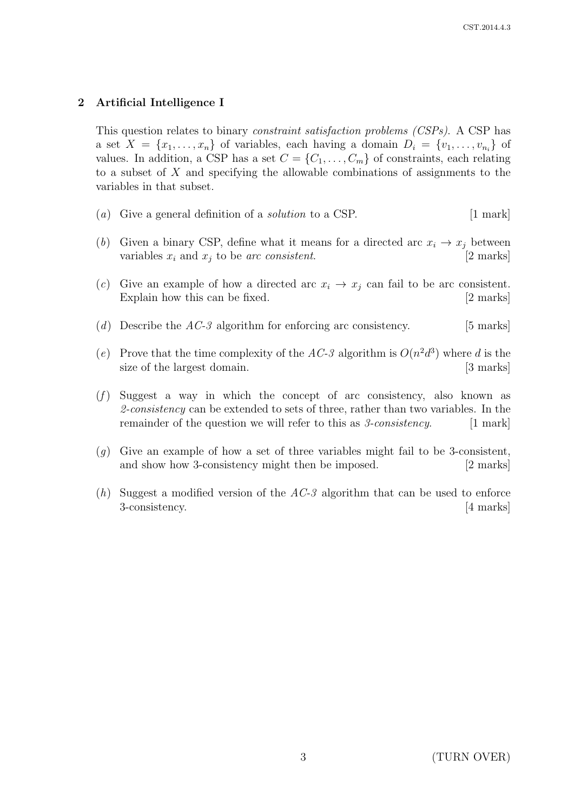# 2 Artificial Intelligence I

This question relates to binary constraint satisfaction problems (CSPs). A CSP has a set  $X = \{x_1, \ldots, x_n\}$  of variables, each having a domain  $D_i = \{v_1, \ldots, v_{n_i}\}$  of values. In addition, a CSP has a set  $C = \{C_1, \ldots, C_m\}$  of constraints, each relating to a subset of X and specifying the allowable combinations of assignments to the variables in that subset.

- (a) Give a general definition of a *solution* to a CSP.  $[1 \text{ mark}]$
- (b) Given a binary CSP, define what it means for a directed arc  $x_i \rightarrow x_j$  between variables  $x_i$  and  $x_j$  to be arc consistent. [2 marks]
- (c) Give an example of how a directed arc  $x_i \rightarrow x_j$  can fail to be arc consistent. Explain how this can be fixed. [2 marks]
- (d) Describe the  $AC-3$  algorithm for enforcing arc consistency. [5 marks]
- (e) Prove that the time complexity of the AC-3 algorithm is  $O(n^2d^3)$  where d is the size of the largest domain. [3 marks]
- $(f)$  Suggest a way in which the concept of arc consistency, also known as 2-consistency can be extended to sets of three, rather than two variables. In the remainder of the question we will refer to this as  $\ell$ -consistency. [1 mark]
- $(q)$  Give an example of how a set of three variables might fail to be 3-consistent, and show how 3-consistency might then be imposed. [2 marks]
- (h) Suggest a modified version of the  $AC-3$  algorithm that can be used to enforce 3-consistency. [4 marks]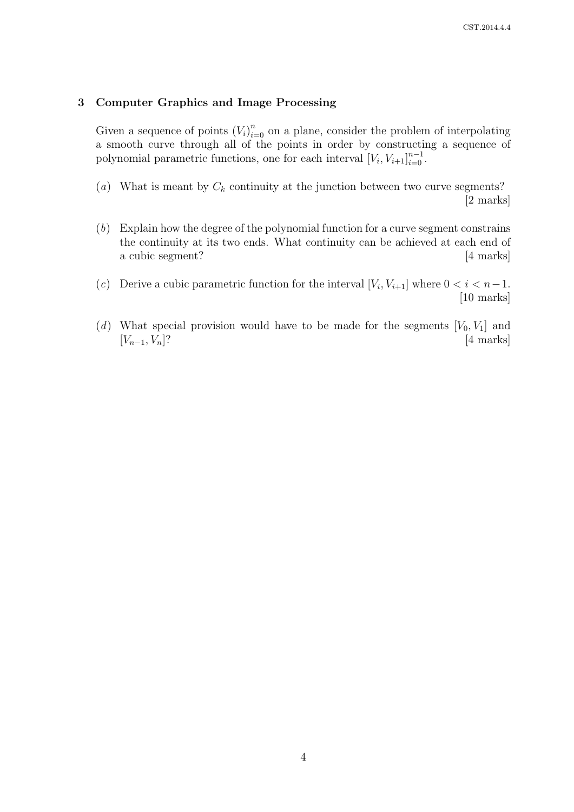## 3 Computer Graphics and Image Processing

Given a sequence of points  $(V_i)_{i=0}^n$  on a plane, consider the problem of interpolating a smooth curve through all of the points in order by constructing a sequence of polynomial parametric functions, one for each interval  $[V_i, V_{i+1}]_{i=0}^{n-1}$ .

- (a) What is meant by  $C_k$  continuity at the junction between two curve segments? [2 marks]
- (b) Explain how the degree of the polynomial function for a curve segment constrains the continuity at its two ends. What continuity can be achieved at each end of a cubic segment? [4 marks]
- (c) Derive a cubic parametric function for the interval  $[V_i, V_{i+1}]$  where  $0 < i < n-1$ . [10 marks]
- (d) What special provision would have to be made for the segments  $[V_0, V_1]$  and  $[V_{n-1}, V_n]$ ? [4 marks]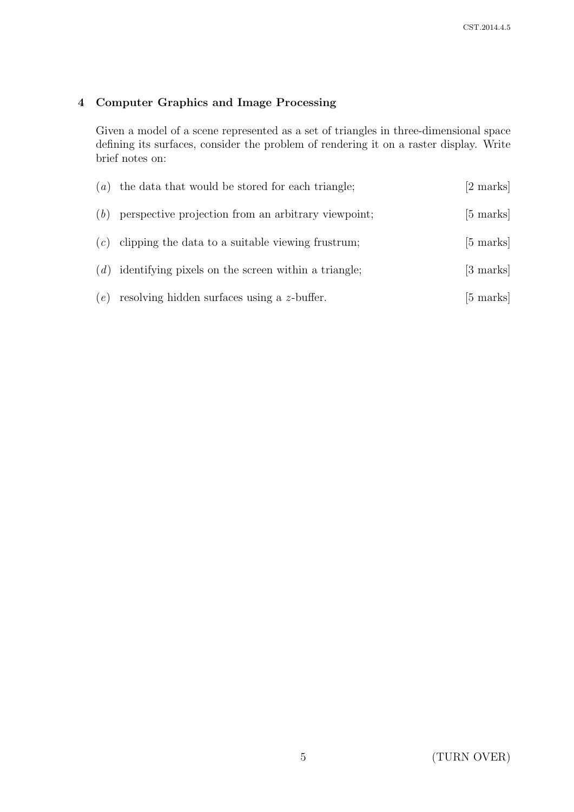# 4 Computer Graphics and Image Processing

Given a model of a scene represented as a set of triangles in three-dimensional space defining its surfaces, consider the problem of rendering it on a raster display. Write brief notes on:

|     | $(a)$ the data that would be stored for each triangle;    | [2 marks]           |
|-----|-----------------------------------------------------------|---------------------|
| (b) | perspective projection from an arbitrary viewpoint;       | $[5 \text{ marks}]$ |
|     | $(c)$ clipping the data to a suitable viewing frustrum;   | $[5 \text{ marks}]$ |
|     | $(d)$ identifying pixels on the screen within a triangle; | [3 marks]           |
|     | $(e)$ resolving hidden surfaces using a z-buffer.         | [5 marks]           |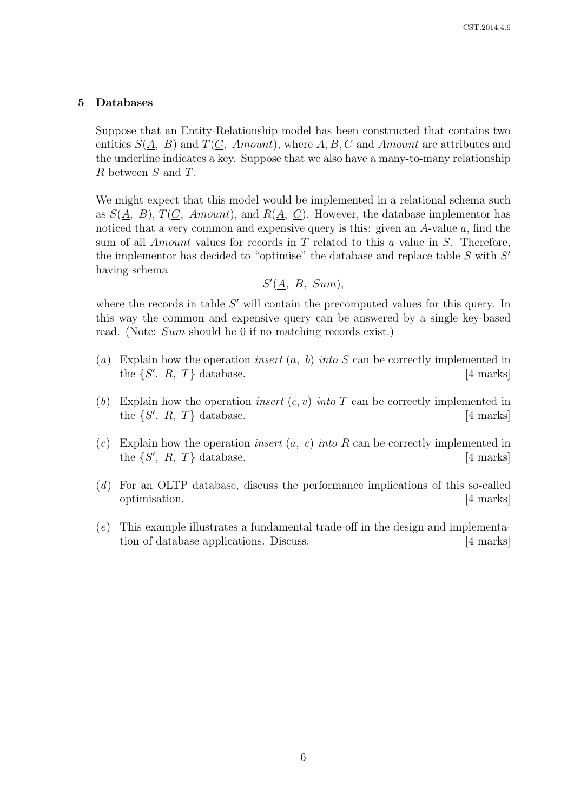#### 5 Databases

Suppose that an Entity-Relationship model has been constructed that contains two entities  $S(A, B)$  and  $T(C, \text{Amount})$ , where  $A, B, C$  and  $\text{Amount}$  are attributes and the underline indicates a key. Suppose that we also have a many-to-many relationship R between S and T.

We might expect that this model would be implemented in a relational schema such as  $S(\underline{A}, B)$ ,  $T(\underline{C}, \underline{Amount})$ , and  $R(\underline{A}, \underline{C})$ . However, the database implementor has noticed that a very common and expensive query is this: given an  $A$ -value  $a$ , find the sum of all *Amount* values for records in  $T$  related to this  $a$  value in  $S$ . Therefore, the implementor has decided to "optimise" the database and replace table  $S$  with  $S'$ having schema

$$
S'(\underline{A}, B, Sum),
$$

where the records in table  $S'$  will contain the precomputed values for this query. In this way the common and expensive query can be answered by a single key-based read. (Note: *Sum* should be 0 if no matching records exist.)

- (a) Explain how the operation *insert*  $(a, b)$  *into* S can be correctly implemented in the  $\{S', R, T\}$  database. [4 marks]
- (b) Explain how the operation *insert*  $(c, v)$  *into* T can be correctly implemented in the  $\{S', R, T\}$  database. [4 marks]
- (c) Explain how the operation *insert*  $(a, c)$  *into* R can be correctly implemented in the  $\{S', R, T\}$  database. [4 marks]
- (d) For an OLTP database, discuss the performance implications of this so-called optimisation. [4 marks]
- (e) This example illustrates a fundamental trade-off in the design and implementation of database applications. Discuss. [4 marks]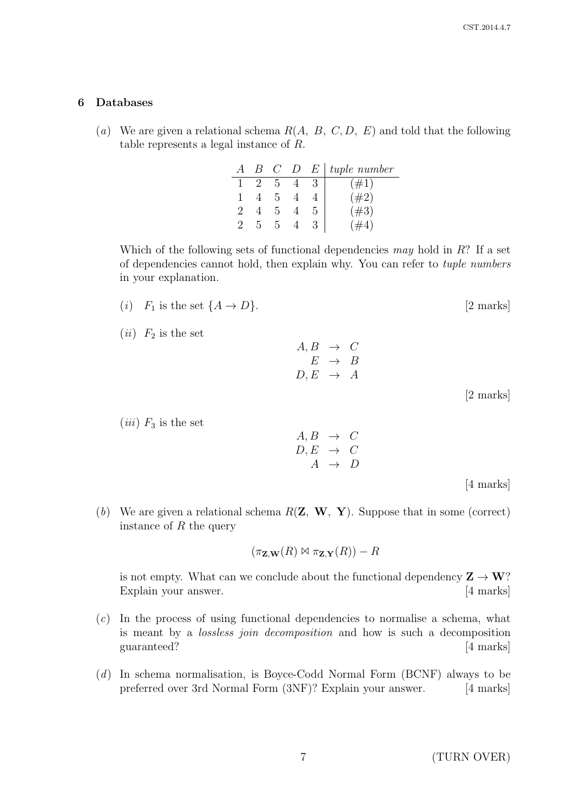#### 6 Databases

(a) We are given a relational schema  $R(A, B, C, D, E)$  and told that the following table represents a legal instance of R.

|  | $B$ $C$ | D | - E 1 | tuple number |
|--|---------|---|-------|--------------|
|  | h       |   |       | $\#1)$       |
|  | h       |   |       | $(\#2)$      |
|  | h.      |   |       | #3)          |
|  |         |   |       |              |

Which of the following sets of functional dependencies may hold in  $R$ ? If a set of dependencies cannot hold, then explain why. You can refer to tuple numbers in your explanation.

- (i)  $F_1$  is the set  $\{A \rightarrow D\}$ . [2 marks]
- (*ii*)  $F_2$  is the set

 $(iii)$   $F_3$  is the set

 $A, B \rightarrow C$  $E \rightarrow B$  $D, E \rightarrow A$ 

[2 marks]

 $A, B \rightarrow C$  $D, E \rightarrow C$  $A \rightarrow D$ 

[4 marks]

(b) We are given a relational schema  $R(\mathbf{Z}, \mathbf{W}, \mathbf{Y})$ . Suppose that in some (correct) instance of  $R$  the query

$$
(\pi_{\mathbf{Z},\mathbf{W}}(R) \bowtie \pi_{\mathbf{Z},\mathbf{Y}}(R)) - R
$$

is not empty. What can we conclude about the functional dependency  $\mathbf{Z} \to \mathbf{W}$ ? Explain your answer. [4 marks]

- (c) In the process of using functional dependencies to normalise a schema, what is meant by a lossless join decomposition and how is such a decomposition guaranteed? [4 marks]
- (d) In schema normalisation, is Boyce-Codd Normal Form (BCNF) always to be preferred over 3rd Normal Form (3NF)? Explain your answer. [4 marks]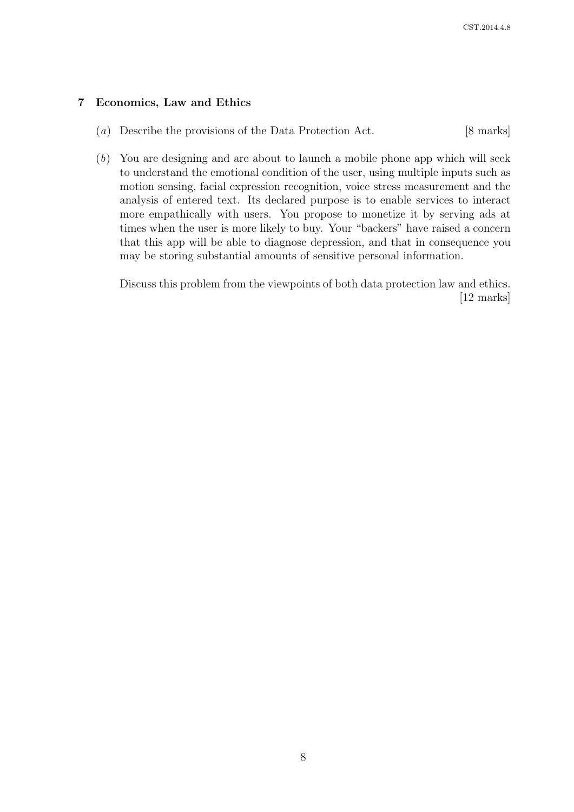# 7 Economics, Law and Ethics

- (a) Describe the provisions of the Data Protection Act. [8 marks]
- (b) You are designing and are about to launch a mobile phone app which will seek to understand the emotional condition of the user, using multiple inputs such as motion sensing, facial expression recognition, voice stress measurement and the analysis of entered text. Its declared purpose is to enable services to interact more empathically with users. You propose to monetize it by serving ads at times when the user is more likely to buy. Your "backers" have raised a concern that this app will be able to diagnose depression, and that in consequence you may be storing substantial amounts of sensitive personal information.

Discuss this problem from the viewpoints of both data protection law and ethics. [12 marks]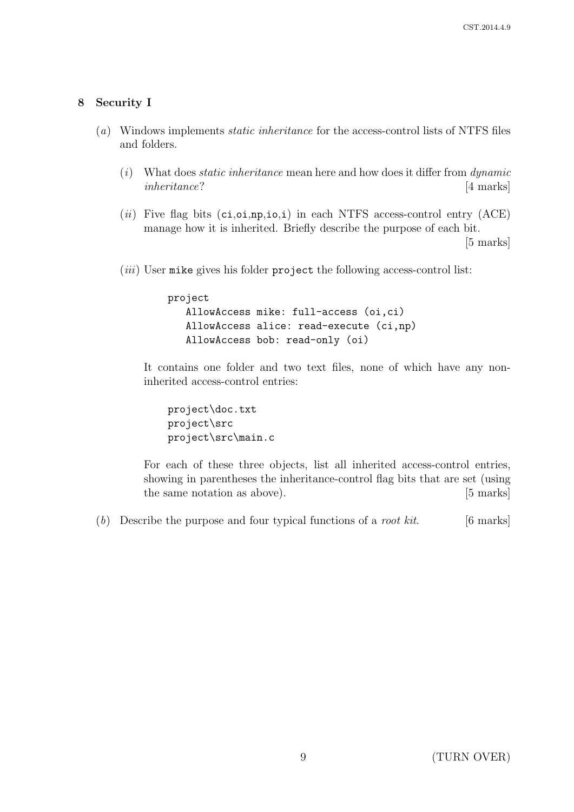## 8 Security I

- (a) Windows implements static inheritance for the access-control lists of NTFS files and folders.
	- $(i)$  What does *static inheritance* mean here and how does it differ from *dynamic* inheritance? [4 marks]
	- (ii) Five flag bits  $(ci,oi, np,io,i)$  in each NTFS access-control entry  $(ACE)$ manage how it is inherited. Briefly describe the purpose of each bit.

[5 marks]

 $(iii)$  User mike gives his folder project the following access-control list:

```
project
   AllowAccess mike: full-access (oi,ci)
   AllowAccess alice: read-execute (ci,np)
   AllowAccess bob: read-only (oi)
```
It contains one folder and two text files, none of which have any noninherited access-control entries:

```
project\doc.txt
project\src
project\src\main.c
```
For each of these three objects, list all inherited access-control entries, showing in parentheses the inheritance-control flag bits that are set (using the same notation as above). [5 marks]

(b) Describe the purpose and four typical functions of a *root kit*. [6 marks]